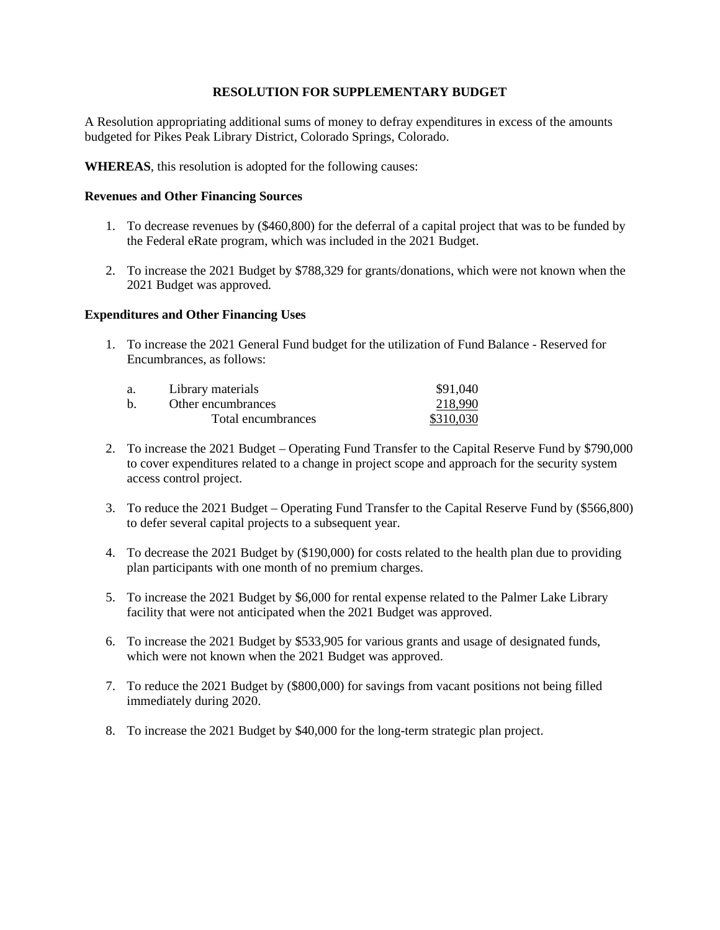A Resolution appropriating additional sums of money to defray expenditures in excess of the amounts budgeted for Pikes Peak Library District, Colorado Springs, Colorado.

**WHEREAS**, this resolution is adopted for the following causes:

#### **Revenues and Other Financing Sources**

- 1. To decrease revenues by (\$460,800) for the deferral of a capital project that was to be funded by the Federal eRate program, which was included in the 2021 Budget.
- 2. To increase the 2021 Budget by \$788,329 for grants/donations, which were not known when the 2021 Budget was approved.

#### **Expenditures and Other Financing Uses**

1. To increase the 2021 General Fund budget for the utilization of Fund Balance - Reserved for Encumbrances, as follows:

| a. | Library materials  | \$91.040  |  |
|----|--------------------|-----------|--|
| b. | Other encumbrances | 218.990   |  |
|    | Total encumbrances | \$310,030 |  |

- 2. To increase the 2021 Budget Operating Fund Transfer to the Capital Reserve Fund by \$790,000 to cover expenditures related to a change in project scope and approach for the security system access control project.
- 3. To reduce the 2021 Budget Operating Fund Transfer to the Capital Reserve Fund by (\$566,800) to defer several capital projects to a subsequent year.
- 4. To decrease the 2021 Budget by (\$190,000) for costs related to the health plan due to providing plan participants with one month of no premium charges.
- 5. To increase the 2021 Budget by \$6,000 for rental expense related to the Palmer Lake Library facility that were not anticipated when the 2021 Budget was approved.
- 6. To increase the 2021 Budget by \$533,905 for various grants and usage of designated funds, which were not known when the 2021 Budget was approved.
- 7. To reduce the 2021 Budget by (\$800,000) for savings from vacant positions not being filled immediately during 2020.
- 8. To increase the 2021 Budget by \$40,000 for the long-term strategic plan project.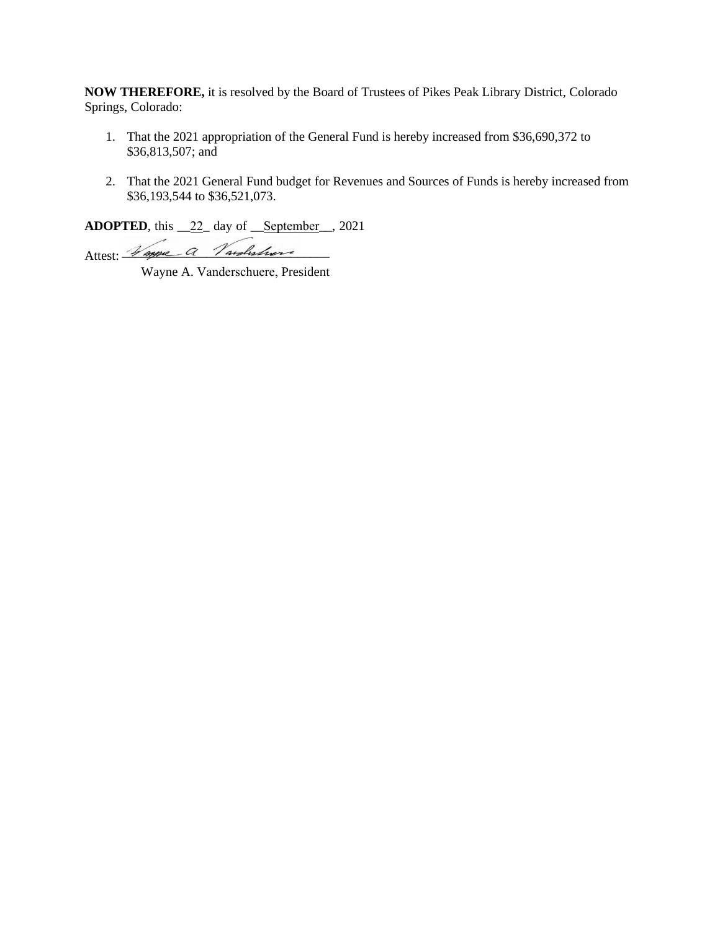**NOW THEREFORE,** it is resolved by the Board of Trustees of Pikes Peak Library District, Colorado Springs, Colorado:

- 1. That the 2021 appropriation of the General Fund is hereby increased from \$36,690,372 to \$36,813,507; and
- 2. That the 2021 General Fund budget for Revenues and Sources of Funds is hereby increased from \$36,193,544 to \$36,521,073.

**ADOPTED**, this \_\_22\_ day of \_\_September\_\_, 2021

Attest: Vanne a Vardishore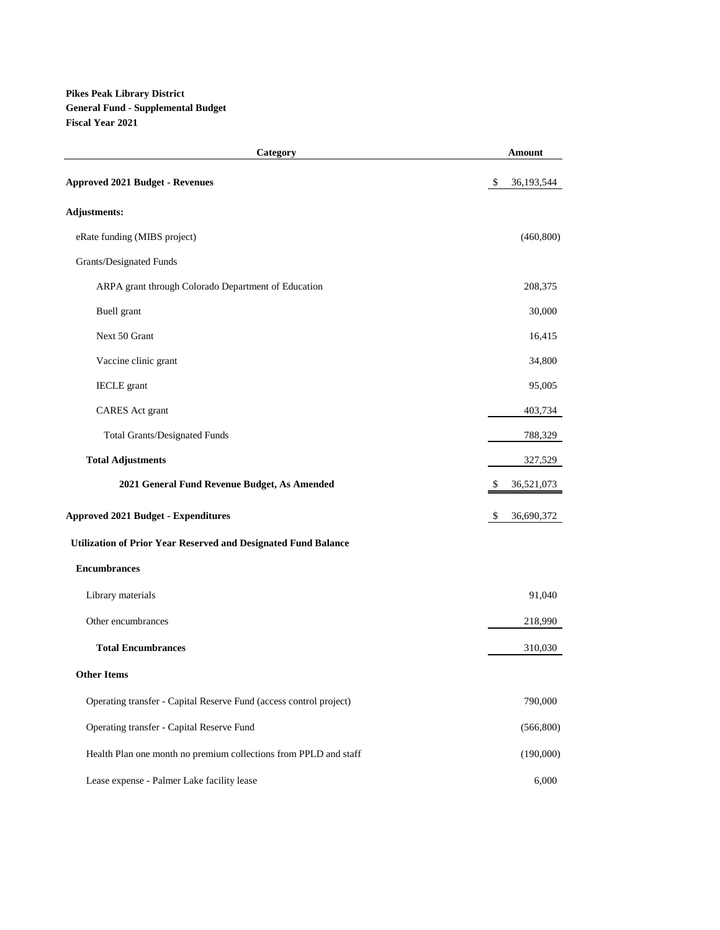**Pikes Peak Library District General Fund - Supplemental Budget Fiscal Year 2021**

| Category                                                           | Amount             |
|--------------------------------------------------------------------|--------------------|
| <b>Approved 2021 Budget - Revenues</b>                             | \$<br>36, 193, 544 |
| <b>Adjustments:</b>                                                |                    |
| eRate funding (MIBS project)                                       | (460, 800)         |
| Grants/Designated Funds                                            |                    |
| ARPA grant through Colorado Department of Education                | 208,375            |
| Buell grant                                                        | 30,000             |
| Next 50 Grant                                                      | 16,415             |
| Vaccine clinic grant                                               | 34,800             |
| <b>IECLE</b> grant                                                 | 95,005             |
| <b>CARES</b> Act grant                                             | 403,734            |
| <b>Total Grants/Designated Funds</b>                               | 788,329            |
| <b>Total Adjustments</b>                                           | 327,529            |
| 2021 General Fund Revenue Budget, As Amended                       | \$<br>36,521,073   |
| <b>Approved 2021 Budget - Expenditures</b>                         | \$<br>36,690,372   |
| Utilization of Prior Year Reserved and Designated Fund Balance     |                    |
| <b>Encumbrances</b>                                                |                    |
| Library materials                                                  | 91,040             |
| Other encumbrances                                                 | 218,990            |
| <b>Total Encumbrances</b>                                          | 310,030            |
| <b>Other Items</b>                                                 |                    |
| Operating transfer - Capital Reserve Fund (access control project) | 790,000            |
| Operating transfer - Capital Reserve Fund                          | (566, 800)         |
| Health Plan one month no premium collections from PPLD and staff   | (190,000)          |
| Lease expense - Palmer Lake facility lease                         | 6,000              |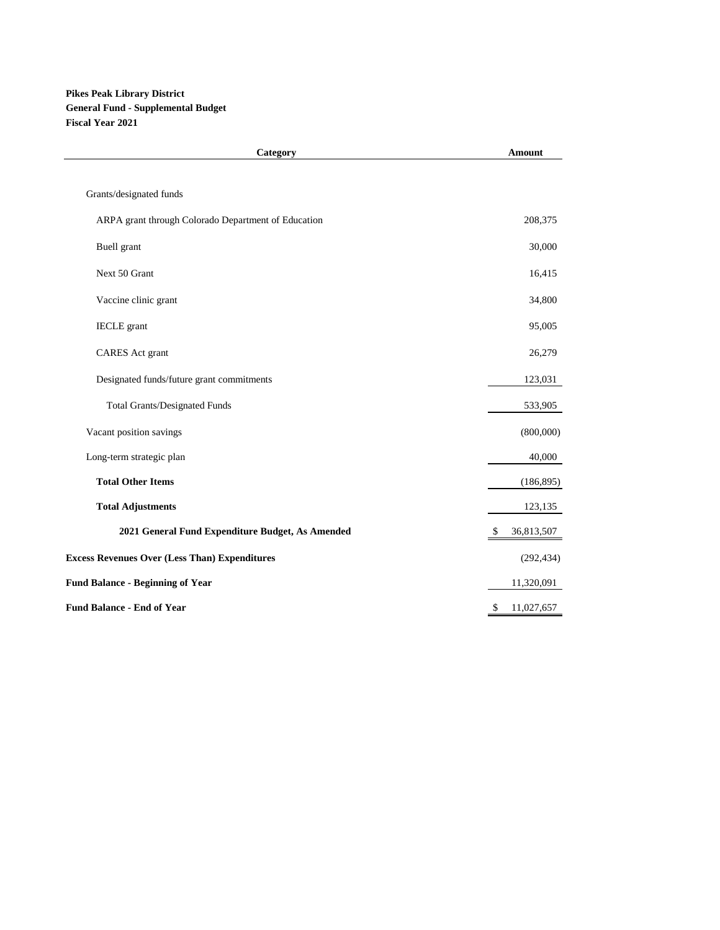#### **Pikes Peak Library District General Fund - Supplemental Budget Fiscal Year 2021**

| Category                                             | <b>Amount</b>    |
|------------------------------------------------------|------------------|
| Grants/designated funds                              |                  |
|                                                      |                  |
| ARPA grant through Colorado Department of Education  | 208,375          |
| <b>Buell</b> grant                                   | 30,000           |
| Next 50 Grant                                        | 16,415           |
| Vaccine clinic grant                                 | 34,800           |
| <b>IECLE</b> grant                                   | 95,005           |
| <b>CARES</b> Act grant                               | 26,279           |
| Designated funds/future grant commitments            | 123,031          |
| <b>Total Grants/Designated Funds</b>                 | 533,905          |
| Vacant position savings                              | (800,000)        |
| Long-term strategic plan                             | 40,000           |
| <b>Total Other Items</b>                             | (186, 895)       |
| <b>Total Adjustments</b>                             | 123,135          |
| 2021 General Fund Expenditure Budget, As Amended     | 36,813,507<br>\$ |
| <b>Excess Revenues Over (Less Than) Expenditures</b> | (292, 434)       |
| <b>Fund Balance - Beginning of Year</b>              | 11,320,091       |
| <b>Fund Balance - End of Year</b>                    | \$<br>11,027,657 |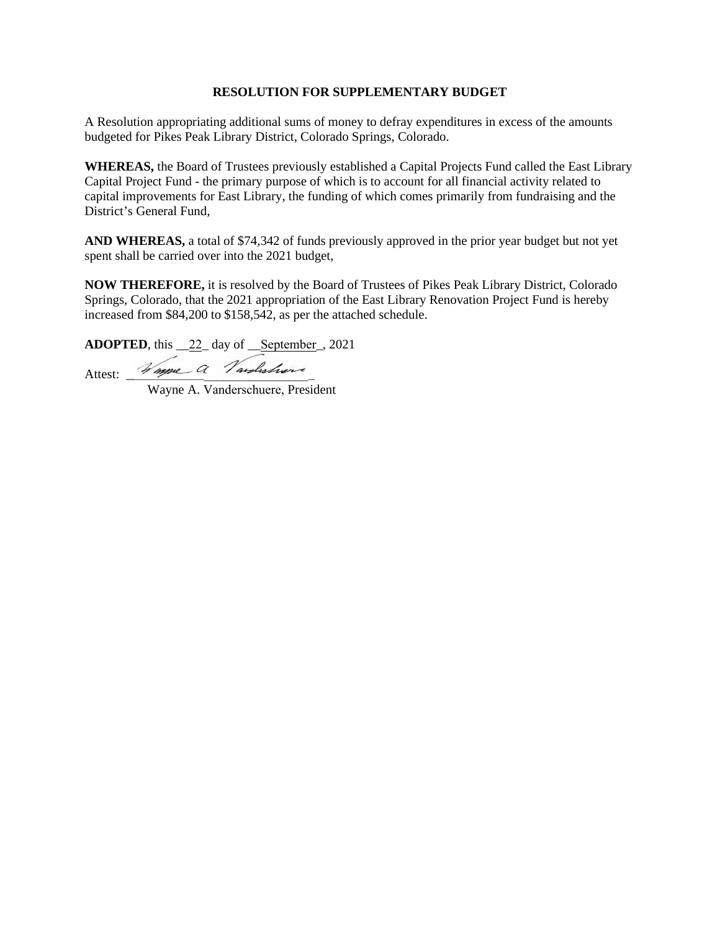A Resolution appropriating additional sums of money to defray expenditures in excess of the amounts budgeted for Pikes Peak Library District, Colorado Springs, Colorado.

**WHEREAS,** the Board of Trustees previously established a Capital Projects Fund called the East Library Capital Project Fund - the primary purpose of which is to account for all financial activity related to capital improvements for East Library, the funding of which comes primarily from fundraising and the District's General Fund,

**AND WHEREAS,** a total of \$74,342 of funds previously approved in the prior year budget but not yet spent shall be carried over into the 2021 budget,

**NOW THEREFORE,** it is resolved by the Board of Trustees of Pikes Peak Library District, Colorado Springs, Colorado, that the 2021 appropriation of the East Library Renovation Project Fund is hereby increased from \$84,200 to \$158,542, as per the attached schedule.

**ADOPTED**, this \_\_22\_ day of \_\_September\_, 2021

Attest: Wagne a Vardishore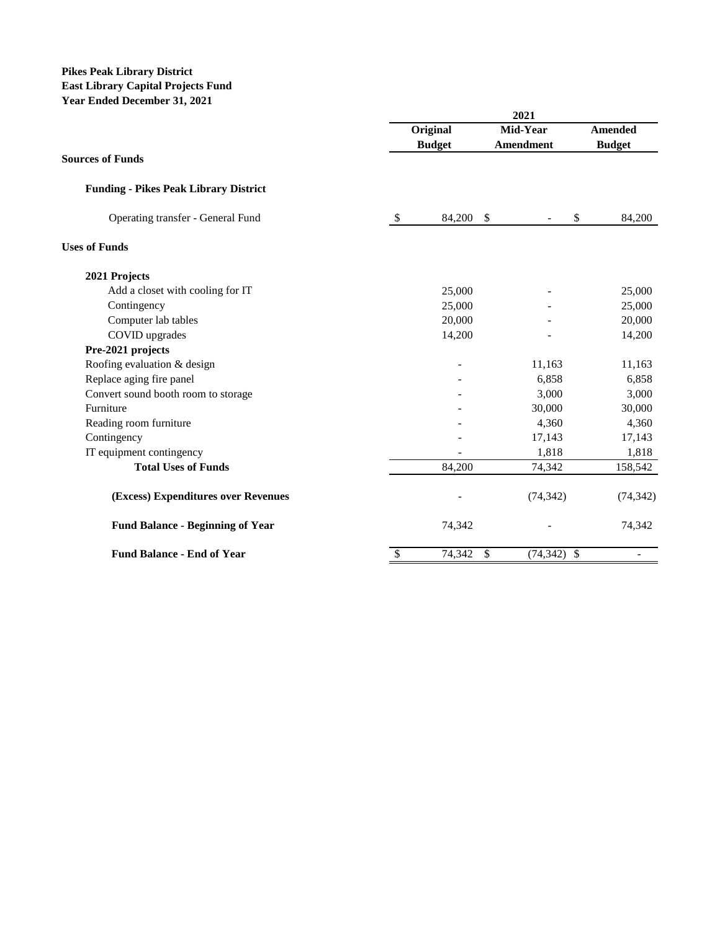### **Pikes Peak Library District East Library Capital Projects Fund Year Ended December 31, 2021**

|                                              |      | 2021          |                                |                |  |
|----------------------------------------------|------|---------------|--------------------------------|----------------|--|
|                                              |      | Original      | Mid-Year                       | <b>Amended</b> |  |
| <b>Sources of Funds</b>                      |      | <b>Budget</b> | Amendment                      | <b>Budget</b>  |  |
| <b>Funding - Pikes Peak Library District</b> |      |               |                                |                |  |
| Operating transfer - General Fund            | $\$$ | 84,200        | <sup>\$</sup>                  | \$<br>84,200   |  |
| <b>Uses of Funds</b>                         |      |               |                                |                |  |
| 2021 Projects                                |      |               |                                |                |  |
| Add a closet with cooling for IT             |      | 25,000        |                                | 25,000         |  |
| Contingency                                  |      | 25,000        |                                | 25,000         |  |
| Computer lab tables                          |      | 20,000        |                                | 20,000         |  |
| COVID upgrades                               |      | 14,200        |                                | 14,200         |  |
| Pre-2021 projects                            |      |               |                                |                |  |
| Roofing evaluation & design                  |      |               | 11,163                         | 11,163         |  |
| Replace aging fire panel                     |      |               | 6,858                          | 6,858          |  |
| Convert sound booth room to storage          |      |               | 3,000                          | 3,000          |  |
| Furniture                                    |      |               | 30,000                         | 30,000         |  |
| Reading room furniture                       |      |               | 4,360                          | 4,360          |  |
| Contingency                                  |      |               | 17,143                         | 17,143         |  |
| IT equipment contingency                     |      |               | 1,818                          | 1,818          |  |
| <b>Total Uses of Funds</b>                   |      | 84,200        | 74,342                         | 158,542        |  |
| (Excess) Expenditures over Revenues          |      |               | (74, 342)                      | (74, 342)      |  |
| <b>Fund Balance - Beginning of Year</b>      |      | 74,342        |                                | 74,342         |  |
| <b>Fund Balance - End of Year</b>            | \$   | 74,342        | $\mathbb{S}$<br>$(74, 342)$ \$ |                |  |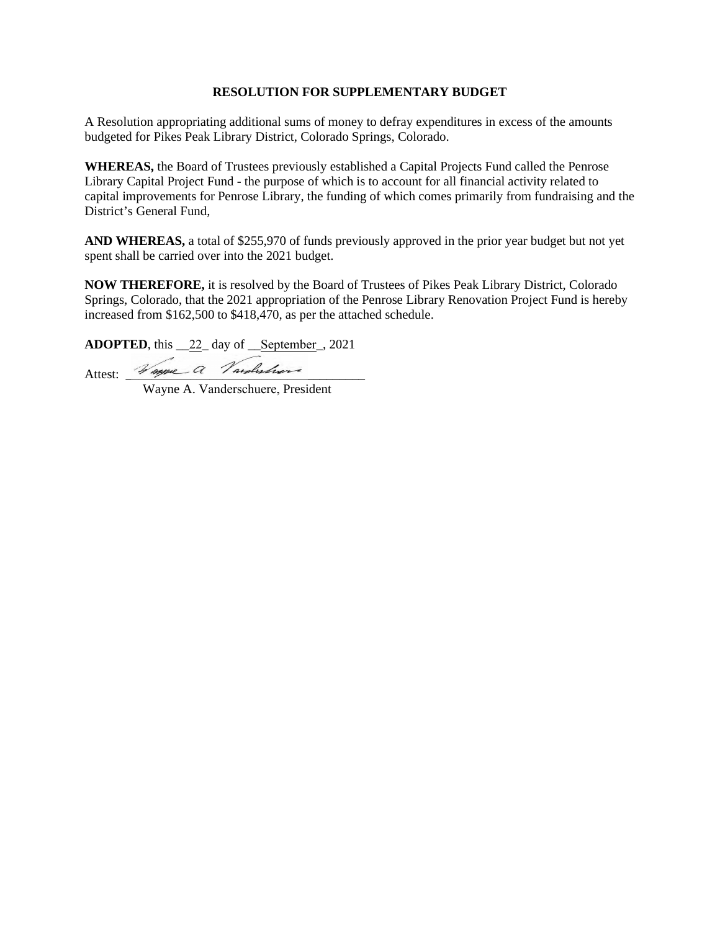A Resolution appropriating additional sums of money to defray expenditures in excess of the amounts budgeted for Pikes Peak Library District, Colorado Springs, Colorado.

**WHEREAS,** the Board of Trustees previously established a Capital Projects Fund called the Penrose Library Capital Project Fund - the purpose of which is to account for all financial activity related to capital improvements for Penrose Library, the funding of which comes primarily from fundraising and the District's General Fund,

**AND WHEREAS,** a total of \$255,970 of funds previously approved in the prior year budget but not yet spent shall be carried over into the 2021 budget.

**NOW THEREFORE,** it is resolved by the Board of Trustees of Pikes Peak Library District, Colorado Springs, Colorado, that the 2021 appropriation of the Penrose Library Renovation Project Fund is hereby increased from \$162,500 to \$418,470, as per the attached schedule.

**ADOPTED**, this \_\_22\_ day of \_\_September\_, 2021

Attest: Waype a l'ambissivere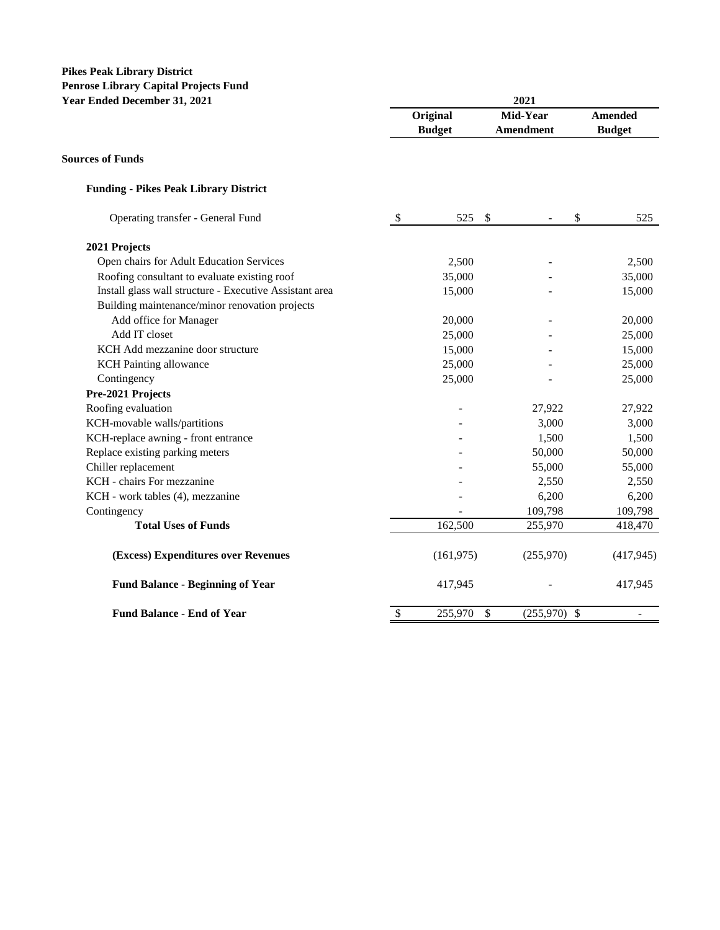# **Pikes Peak Library District Penrose Library Capital Projects Fund**

| Year Ended December 31, 2021                            |               | 2021          |                                 |                          |  |  |  |  |
|---------------------------------------------------------|---------------|---------------|---------------------------------|--------------------------|--|--|--|--|
|                                                         |               | Original      | Mid-Year                        | <b>Amended</b>           |  |  |  |  |
|                                                         |               | <b>Budget</b> | <b>Amendment</b>                | <b>Budget</b>            |  |  |  |  |
| <b>Sources of Funds</b>                                 |               |               |                                 |                          |  |  |  |  |
| <b>Funding - Pikes Peak Library District</b>            |               |               |                                 |                          |  |  |  |  |
| Operating transfer - General Fund                       | $\mathcal{S}$ | 525           | $\boldsymbol{\mathsf{S}}$<br>\$ | 525                      |  |  |  |  |
| 2021 Projects                                           |               |               |                                 |                          |  |  |  |  |
| Open chairs for Adult Education Services                |               | 2,500         |                                 | 2,500                    |  |  |  |  |
| Roofing consultant to evaluate existing roof            |               | 35,000        |                                 | 35,000                   |  |  |  |  |
| Install glass wall structure - Executive Assistant area |               | 15,000        |                                 | 15,000                   |  |  |  |  |
| Building maintenance/minor renovation projects          |               |               |                                 |                          |  |  |  |  |
| Add office for Manager                                  |               | 20,000        |                                 | 20,000                   |  |  |  |  |
| Add IT closet                                           |               | 25,000        |                                 | 25,000                   |  |  |  |  |
| KCH Add mezzanine door structure                        |               | 15,000        |                                 | 15,000                   |  |  |  |  |
| <b>KCH</b> Painting allowance                           |               | 25,000        |                                 | 25,000                   |  |  |  |  |
| Contingency                                             |               | 25,000        |                                 | 25,000                   |  |  |  |  |
| Pre-2021 Projects                                       |               |               |                                 |                          |  |  |  |  |
| Roofing evaluation                                      |               |               | 27,922                          | 27,922                   |  |  |  |  |
| KCH-movable walls/partitions                            |               |               | 3,000                           | 3,000                    |  |  |  |  |
| KCH-replace awning - front entrance                     |               |               | 1,500                           | 1,500                    |  |  |  |  |
| Replace existing parking meters                         |               |               | 50,000                          | 50,000                   |  |  |  |  |
| Chiller replacement                                     |               |               | 55,000                          | 55,000                   |  |  |  |  |
| KCH - chairs For mezzanine                              |               |               | 2,550                           | 2,550                    |  |  |  |  |
| KCH - work tables (4), mezzanine                        |               |               | 6,200                           | 6,200                    |  |  |  |  |
| Contingency                                             |               |               | 109,798                         | 109,798                  |  |  |  |  |
| <b>Total Uses of Funds</b>                              |               | 162,500       | 255,970                         | 418,470                  |  |  |  |  |
| (Excess) Expenditures over Revenues                     |               | (161, 975)    | (255,970)                       | (417, 945)               |  |  |  |  |
| <b>Fund Balance - Beginning of Year</b>                 |               | 417,945       |                                 | 417,945                  |  |  |  |  |
| <b>Fund Balance - End of Year</b>                       | \$            | 255,970       | \$<br>$(255,970)$ \$            | $\overline{\phantom{a}}$ |  |  |  |  |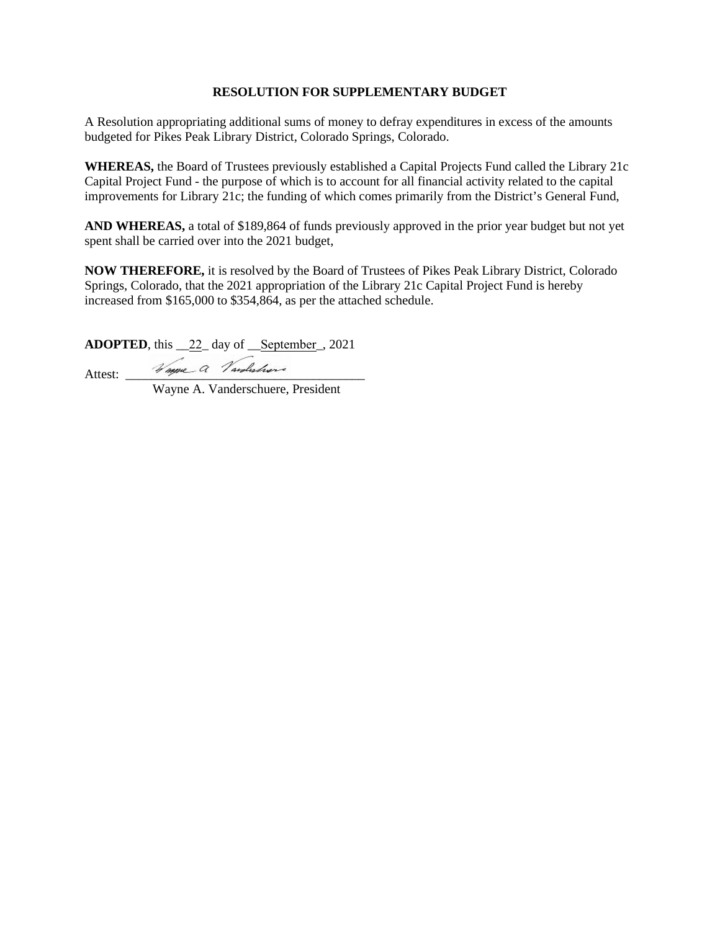A Resolution appropriating additional sums of money to defray expenditures in excess of the amounts budgeted for Pikes Peak Library District, Colorado Springs, Colorado.

**WHEREAS,** the Board of Trustees previously established a Capital Projects Fund called the Library 21c Capital Project Fund - the purpose of which is to account for all financial activity related to the capital improvements for Library 21c; the funding of which comes primarily from the District's General Fund,

**AND WHEREAS,** a total of \$189,864 of funds previously approved in the prior year budget but not yet spent shall be carried over into the 2021 budget,

**NOW THEREFORE,** it is resolved by the Board of Trustees of Pikes Peak Library District, Colorado Springs, Colorado, that the 2021 appropriation of the Library 21c Capital Project Fund is hereby increased from \$165,000 to \$354,864, as per the attached schedule.

**ADOPTED**, this \_\_22\_ day of \_\_September\_, 2021

Attest:  $\frac{1}{\sqrt{m}}$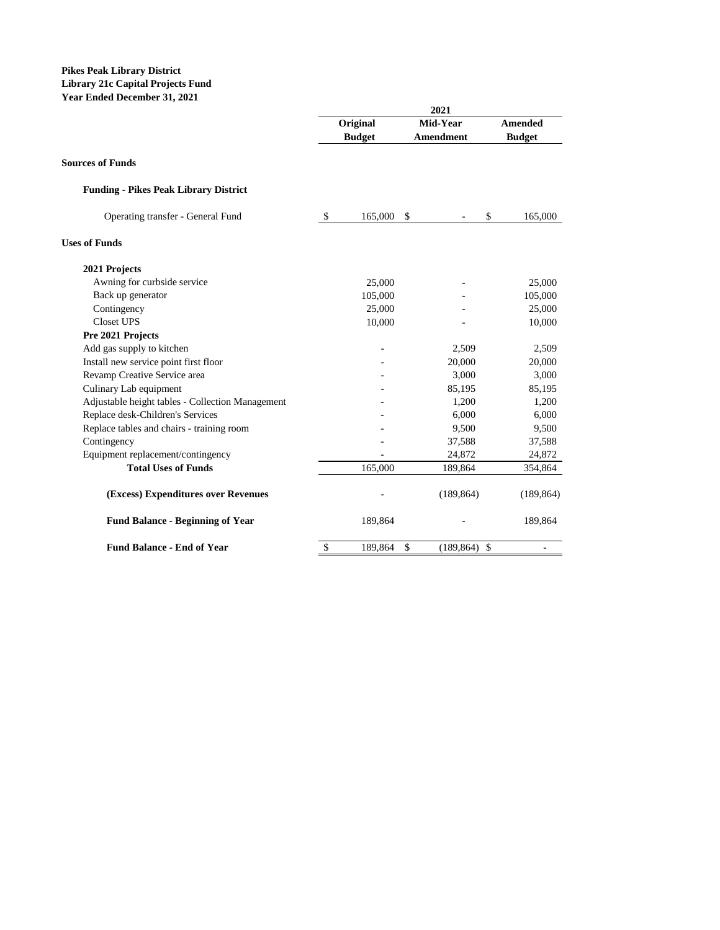#### **Pikes Peak Library District Library 21c Capital Projects Fund Year Ended December 31, 2021**

|                                                  |                         | <b>Original</b> | Mid-Year                          | Amended       |
|--------------------------------------------------|-------------------------|-----------------|-----------------------------------|---------------|
|                                                  |                         | <b>Budget</b>   | Amendment                         | <b>Budget</b> |
| <b>Sources of Funds</b>                          |                         |                 |                                   |               |
| <b>Funding - Pikes Peak Library District</b>     |                         |                 |                                   |               |
| Operating transfer - General Fund                | $\sqrt[6]{\frac{1}{2}}$ | 165,000         | \$<br>\$                          | 165,000       |
| <b>Uses of Funds</b>                             |                         |                 |                                   |               |
| 2021 Projects                                    |                         |                 |                                   |               |
| Awning for curbside service                      |                         | 25,000          |                                   | 25,000        |
| Back up generator                                |                         | 105,000         |                                   | 105,000       |
| Contingency                                      |                         | 25,000          |                                   | 25,000        |
| <b>Closet UPS</b>                                |                         | 10,000          |                                   | 10,000        |
| Pre 2021 Projects                                |                         |                 |                                   |               |
| Add gas supply to kitchen                        |                         |                 | 2,509                             | 2,509         |
| Install new service point first floor            |                         |                 | 20,000                            | 20,000        |
| Revamp Creative Service area                     |                         |                 | 3,000                             | 3,000         |
| Culinary Lab equipment                           |                         |                 | 85,195                            | 85,195        |
| Adjustable height tables - Collection Management |                         |                 | 1,200                             | 1,200         |
| Replace desk-Children's Services                 |                         |                 | 6,000                             | 6,000         |
| Replace tables and chairs - training room        |                         |                 | 9,500                             | 9,500         |
| Contingency                                      |                         |                 | 37,588                            | 37,588        |
| Equipment replacement/contingency                |                         |                 | 24,872                            | 24,872        |
| <b>Total Uses of Funds</b>                       |                         | 165,000         | 189,864                           | 354,864       |
| (Excess) Expenditures over Revenues              |                         |                 | (189, 864)                        | (189, 864)    |
| <b>Fund Balance - Beginning of Year</b>          |                         | 189,864         |                                   | 189,864       |
| <b>Fund Balance - End of Year</b>                | \$                      | 189,864         | \$<br>(189, 864)<br>$\mathbf{\$}$ |               |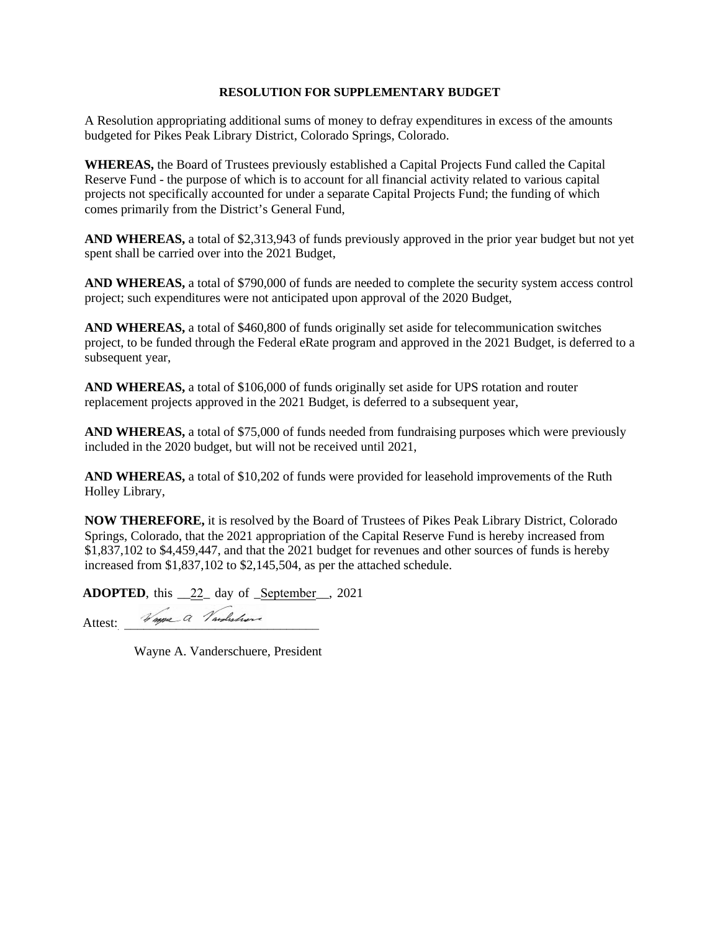A Resolution appropriating additional sums of money to defray expenditures in excess of the amounts budgeted for Pikes Peak Library District, Colorado Springs, Colorado.

**WHEREAS,** the Board of Trustees previously established a Capital Projects Fund called the Capital Reserve Fund - the purpose of which is to account for all financial activity related to various capital projects not specifically accounted for under a separate Capital Projects Fund; the funding of which comes primarily from the District's General Fund,

**AND WHEREAS,** a total of \$2,313,943 of funds previously approved in the prior year budget but not yet spent shall be carried over into the 2021 Budget,

**AND WHEREAS,** a total of \$790,000 of funds are needed to complete the security system access control project; such expenditures were not anticipated upon approval of the 2020 Budget,

**AND WHEREAS,** a total of \$460,800 of funds originally set aside for telecommunication switches project, to be funded through the Federal eRate program and approved in the 2021 Budget, is deferred to a subsequent year,

**AND WHEREAS,** a total of \$106,000 of funds originally set aside for UPS rotation and router replacement projects approved in the 2021 Budget, is deferred to a subsequent year,

**AND WHEREAS,** a total of \$75,000 of funds needed from fundraising purposes which were previously included in the 2020 budget, but will not be received until 2021,

**AND WHEREAS,** a total of \$10,202 of funds were provided for leasehold improvements of the Ruth Holley Library,

**NOW THEREFORE,** it is resolved by the Board of Trustees of Pikes Peak Library District, Colorado Springs, Colorado, that the 2021 appropriation of the Capital Reserve Fund is hereby increased from \$1,837,102 to \$4,459,447, and that the 2021 budget for revenues and other sources of funds is hereby increased from \$1,837,102 to \$2,145,504, as per the attached schedule.

**ADOPTED**, this \_\_22\_ day of \_September\_\_, 2021

Attest: Happe a Vardishove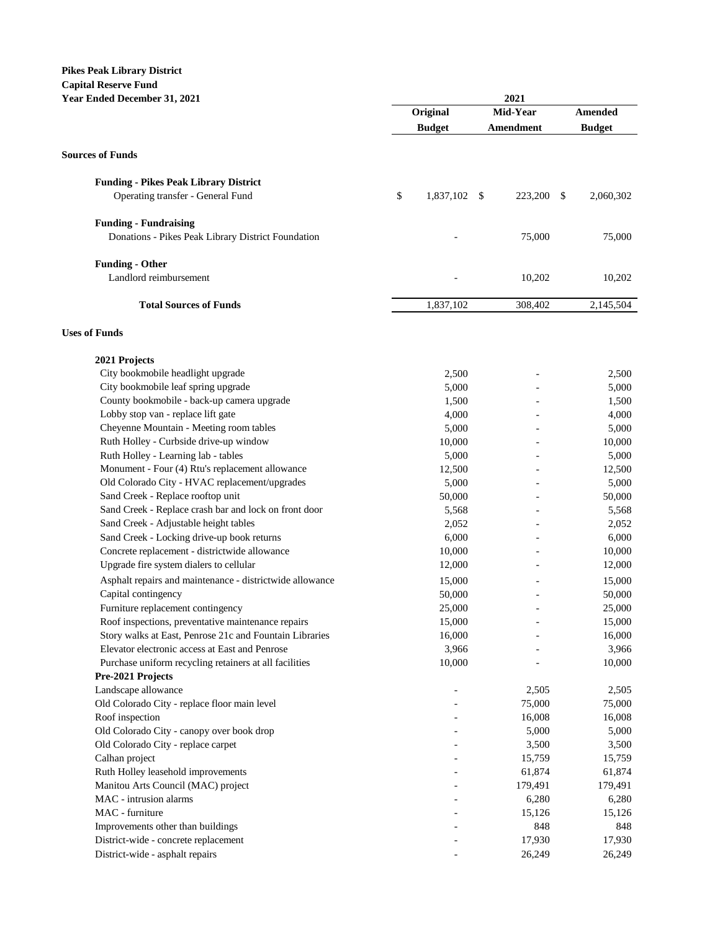# **Pikes Peak Library District Capital Reserve Fund**

| <b>Year Ended December 31, 2021</b>                                                    |    | 2021          |           |    |               |  |  |
|----------------------------------------------------------------------------------------|----|---------------|-----------|----|---------------|--|--|
|                                                                                        |    | Original      | Mid-Year  |    | Amended       |  |  |
|                                                                                        |    | <b>Budget</b> | Amendment |    | <b>Budget</b> |  |  |
|                                                                                        |    |               |           |    |               |  |  |
| <b>Sources of Funds</b>                                                                |    |               |           |    |               |  |  |
| <b>Funding - Pikes Peak Library District</b>                                           |    |               |           |    |               |  |  |
| Operating transfer - General Fund                                                      | \$ | 1,837,102 \$  | 223,200   | \$ | 2,060,302     |  |  |
| <b>Funding - Fundraising</b>                                                           |    |               |           |    |               |  |  |
| Donations - Pikes Peak Library District Foundation                                     |    |               | 75,000    |    | 75,000        |  |  |
| <b>Funding - Other</b>                                                                 |    |               |           |    |               |  |  |
| Landlord reimbursement                                                                 |    |               | 10,202    |    | 10,202        |  |  |
| <b>Total Sources of Funds</b>                                                          |    | 1,837,102     | 308,402   |    | 2,145,504     |  |  |
| <b>Uses of Funds</b>                                                                   |    |               |           |    |               |  |  |
|                                                                                        |    |               |           |    |               |  |  |
| 2021 Projects<br>City bookmobile headlight upgrade                                     |    | 2,500         |           |    | 2,500         |  |  |
| City bookmobile leaf spring upgrade                                                    |    | 5,000         |           |    | 5,000         |  |  |
| County bookmobile - back-up camera upgrade                                             |    | 1,500         |           |    | 1,500         |  |  |
| Lobby stop van - replace lift gate                                                     |    | 4,000         |           |    | 4,000         |  |  |
| Cheyenne Mountain - Meeting room tables                                                |    | 5,000         |           |    | 5,000         |  |  |
| Ruth Holley - Curbside drive-up window                                                 |    | 10,000        |           |    | 10,000        |  |  |
|                                                                                        |    |               |           |    |               |  |  |
| Ruth Holley - Learning lab - tables<br>Monument - Four (4) Rtu's replacement allowance |    | 5,000         |           |    | 5,000         |  |  |
| Old Colorado City - HVAC replacement/upgrades                                          |    | 12,500        |           |    | 12,500        |  |  |
| Sand Creek - Replace rooftop unit                                                      |    | 5,000         |           |    | 5,000         |  |  |
|                                                                                        |    | 50,000        |           |    | 50,000        |  |  |
| Sand Creek - Replace crash bar and lock on front door                                  |    | 5,568         |           |    | 5,568         |  |  |
| Sand Creek - Adjustable height tables                                                  |    | 2,052         |           |    | 2,052         |  |  |
| Sand Creek - Locking drive-up book returns                                             |    | 6,000         |           |    | 6,000         |  |  |
| Concrete replacement - districtwide allowance                                          |    | 10,000        |           |    | 10,000        |  |  |
| Upgrade fire system dialers to cellular                                                |    | 12,000        |           |    | 12,000        |  |  |
| Asphalt repairs and maintenance - districtwide allowance                               |    | 15,000        |           |    | 15,000        |  |  |
| Capital contingency                                                                    |    | 50,000        |           |    | 50,000        |  |  |
| Furniture replacement contingency                                                      |    | 25,000        |           |    | 25,000        |  |  |
| Roof inspections, preventative maintenance repairs                                     |    | 15,000        |           |    | 15,000        |  |  |
| Story walks at East, Penrose 21c and Fountain Libraries                                |    | 16,000        |           |    | 16,000        |  |  |
| Elevator electronic access at East and Penrose                                         |    | 3,966         |           |    | 3,966         |  |  |
| Purchase uniform recycling retainers at all facilities                                 |    | 10,000        |           |    | 10,000        |  |  |
| Pre-2021 Projects                                                                      |    |               |           |    |               |  |  |
| Landscape allowance                                                                    |    |               | 2,505     |    | 2,505         |  |  |
| Old Colorado City - replace floor main level                                           |    |               | 75,000    |    | 75,000        |  |  |
| Roof inspection                                                                        |    |               | 16,008    |    | 16,008        |  |  |
| Old Colorado City - canopy over book drop                                              |    |               | 5,000     |    | 5,000         |  |  |
| Old Colorado City - replace carpet                                                     |    |               | 3,500     |    | 3,500         |  |  |
| Calhan project                                                                         |    |               | 15,759    |    | 15,759        |  |  |
| Ruth Holley leasehold improvements                                                     |    |               | 61,874    |    | 61,874        |  |  |
| Manitou Arts Council (MAC) project                                                     |    |               | 179,491   |    | 179,491       |  |  |
| MAC - intrusion alarms                                                                 |    |               | 6,280     |    | 6,280         |  |  |
| MAC - furniture                                                                        |    |               | 15,126    |    | 15,126        |  |  |
| Improvements other than buildings                                                      |    |               | 848       |    | 848           |  |  |
| District-wide - concrete replacement                                                   |    |               | 17,930    |    | 17,930        |  |  |
| District-wide - asphalt repairs                                                        |    |               | 26,249    |    | 26,249        |  |  |
|                                                                                        |    |               |           |    |               |  |  |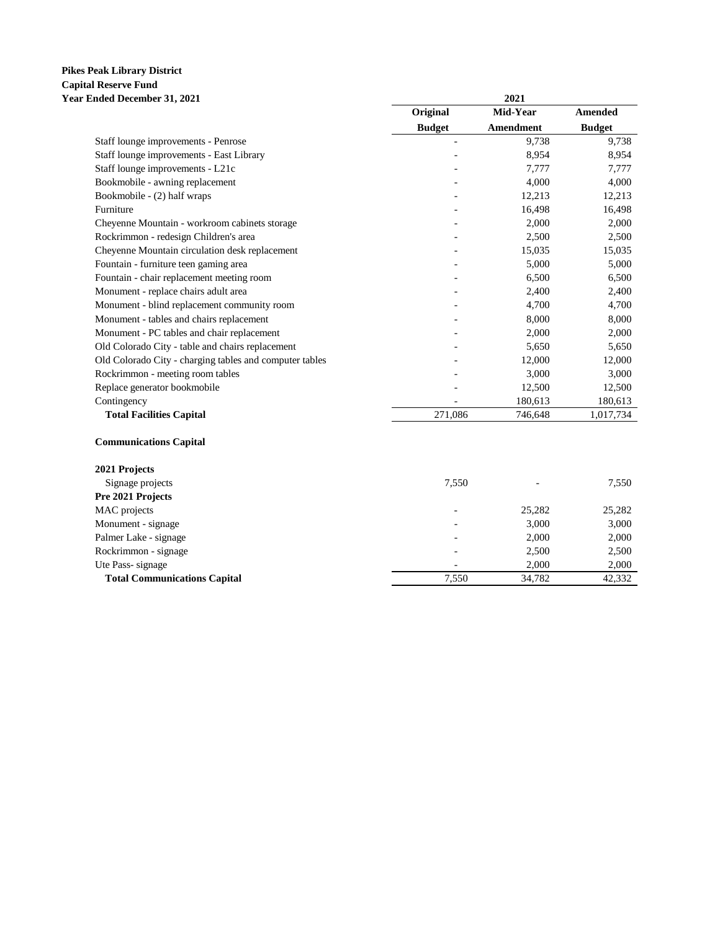#### **Pikes Peak Library District Capital Reserve Fund Year Ended December 31, 2021 2021**

|                                                         | Original      | Mid-Year  | Amended       |
|---------------------------------------------------------|---------------|-----------|---------------|
|                                                         | <b>Budget</b> | Amendment | <b>Budget</b> |
| Staff lounge improvements - Penrose                     |               | 9,738     | 9,738         |
| Staff lounge improvements - East Library                |               | 8,954     | 8,954         |
| Staff lounge improvements - L21c                        |               | 7,777     | 7,777         |
| Bookmobile - awning replacement                         |               | 4,000     | 4,000         |
| Bookmobile - (2) half wraps                             |               | 12,213    | 12,213        |
| Furniture                                               |               | 16,498    | 16,498        |
| Cheyenne Mountain - workroom cabinets storage           |               | 2,000     | 2,000         |
| Rockrimmon - redesign Children's area                   |               | 2,500     | 2,500         |
| Cheyenne Mountain circulation desk replacement          |               | 15,035    | 15,035        |
| Fountain - furniture teen gaming area                   |               | 5,000     | 5,000         |
| Fountain - chair replacement meeting room               |               | 6,500     | 6,500         |
| Monument - replace chairs adult area                    |               | 2,400     | 2,400         |
| Monument - blind replacement community room             |               | 4,700     | 4,700         |
| Monument - tables and chairs replacement                |               | 8,000     | 8,000         |
| Monument - PC tables and chair replacement              |               | 2,000     | 2,000         |
| Old Colorado City - table and chairs replacement        |               | 5,650     | 5,650         |
| Old Colorado City - charging tables and computer tables |               | 12,000    | 12,000        |
| Rockrimmon - meeting room tables                        |               | 3,000     | 3,000         |
| Replace generator bookmobile                            |               | 12,500    | 12,500        |
| Contingency                                             |               | 180,613   | 180,613       |
| <b>Total Facilities Capital</b>                         | 271,086       | 746,648   | 1,017,734     |

| Signage projects                    | 7.550 |        | 7,550  |
|-------------------------------------|-------|--------|--------|
| Pre 2021 Projects                   |       |        |        |
| MAC projects                        |       | 25,282 | 25,282 |
| Monument - signage                  |       | 3,000  | 3,000  |
| Palmer Lake - signage               |       | 2,000  | 2,000  |
| Rockrimmon - signage                |       | 2,500  | 2,500  |
| Ute Pass-signage                    |       | 2.000  | 2,000  |
| <b>Total Communications Capital</b> | 7.550 | 34,782 | 42,332 |
|                                     |       |        |        |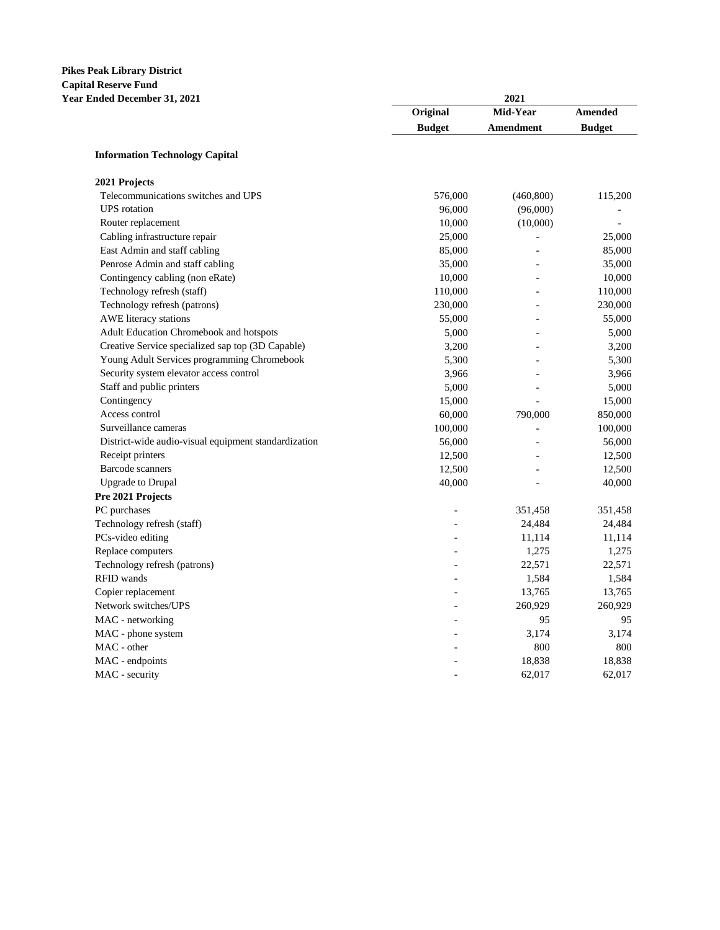# **Pikes Peak Library District Capital Reserve Fund**

| сарнат кезет те т апа<br>Year Ended December 31, 2021 | 2021          |            |                |  |  |
|-------------------------------------------------------|---------------|------------|----------------|--|--|
|                                                       | Original      | Mid-Year   | <b>Amended</b> |  |  |
|                                                       | <b>Budget</b> | Amendment  | <b>Budget</b>  |  |  |
| <b>Information Technology Capital</b>                 |               |            |                |  |  |
| 2021 Projects                                         |               |            |                |  |  |
| Telecommunications switches and UPS                   | 576,000       | (460, 800) | 115,200        |  |  |
| <b>UPS</b> rotation                                   | 96,000        | (96,000)   |                |  |  |
| Router replacement                                    | 10,000        | (10,000)   |                |  |  |
| Cabling infrastructure repair                         | 25,000        |            | 25,000         |  |  |
| East Admin and staff cabling                          | 85,000        |            | 85,000         |  |  |
| Penrose Admin and staff cabling                       | 35,000        |            | 35,000         |  |  |
| Contingency cabling (non eRate)                       | 10,000        |            | 10,000         |  |  |
| Technology refresh (staff)                            | 110,000       |            | 110,000        |  |  |
| Technology refresh (patrons)                          | 230,000       |            | 230,000        |  |  |
| AWE literacy stations                                 | 55,000        |            | 55,000         |  |  |
| Adult Education Chromebook and hotspots               | 5,000         |            | 5,000          |  |  |
| Creative Service specialized sap top (3D Capable)     | 3,200         |            | 3,200          |  |  |
| Young Adult Services programming Chromebook           | 5,300         |            | 5,300          |  |  |
| Security system elevator access control               | 3,966         |            | 3,966          |  |  |
| Staff and public printers                             | 5,000         |            | 5,000          |  |  |
| Contingency                                           | 15,000        |            | 15,000         |  |  |
| Access control                                        | 60,000        | 790,000    | 850,000        |  |  |
| Surveillance cameras                                  | 100,000       |            | 100,000        |  |  |
| District-wide audio-visual equipment standardization  | 56,000        |            | 56,000         |  |  |
| Receipt printers                                      | 12,500        |            | 12,500         |  |  |
| <b>Barcode</b> scanners                               | 12,500        |            | 12,500         |  |  |
| <b>Upgrade</b> to Drupal                              | 40,000        |            | 40,000         |  |  |
| Pre 2021 Projects                                     |               |            |                |  |  |
| PC purchases                                          |               | 351,458    | 351,458        |  |  |
| Technology refresh (staff)                            |               | 24,484     | 24,484         |  |  |
| PCs-video editing                                     |               | 11,114     | 11,114         |  |  |
| Replace computers                                     |               | 1,275      | 1,275          |  |  |
| Technology refresh (patrons)                          |               | 22,571     | 22,571         |  |  |
| RFID wands                                            |               | 1,584      | 1,584          |  |  |
| Copier replacement                                    |               | 13,765     | 13,765         |  |  |
| Network switches/UPS                                  |               | 260,929    | 260,929        |  |  |
| MAC - networking                                      |               | 95         | 95             |  |  |
| MAC - phone system                                    |               | 3,174      | 3,174          |  |  |
| MAC - other                                           |               | 800        | 800            |  |  |
| MAC - endpoints                                       |               | 18,838     | 18,838         |  |  |
| MAC - security                                        |               | 62,017     | 62,017         |  |  |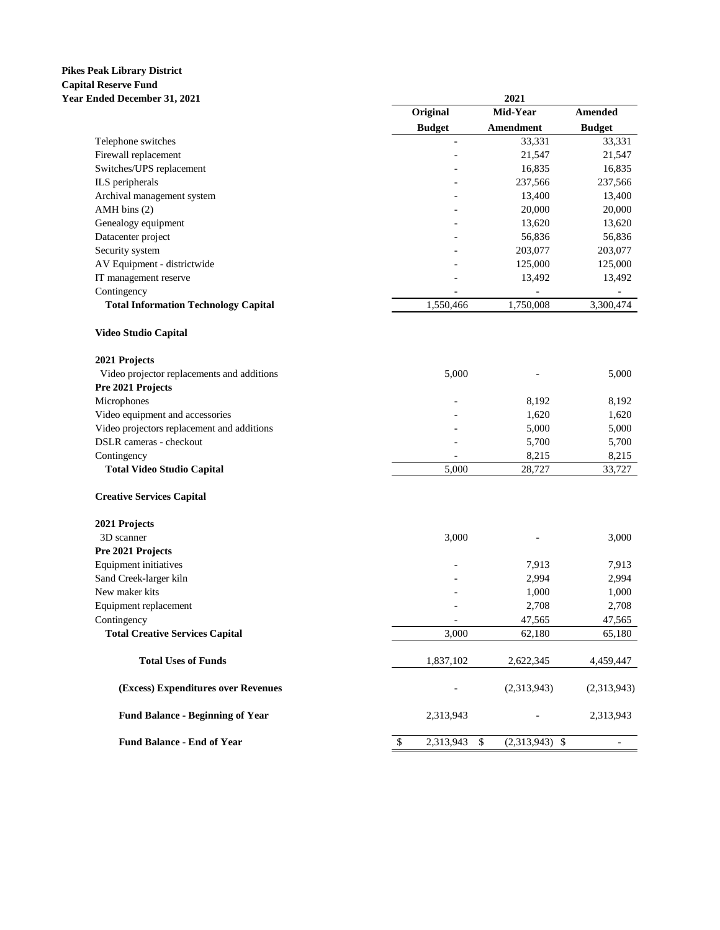# **Pikes Peak Library District Capital Reserve Fund**

| Capital Reserve Fully<br><b>Year Ended December 31, 2021</b> | 2021                      |                        |                          |  |  |  |
|--------------------------------------------------------------|---------------------------|------------------------|--------------------------|--|--|--|
|                                                              | Original                  | Mid-Year               | Amended                  |  |  |  |
|                                                              | <b>Budget</b>             | Amendment              | <b>Budget</b>            |  |  |  |
| Telephone switches                                           |                           | 33,331                 | 33,331                   |  |  |  |
| Firewall replacement                                         |                           | 21,547                 | 21,547                   |  |  |  |
| Switches/UPS replacement                                     |                           | 16,835                 | 16,835                   |  |  |  |
| ILS peripherals                                              |                           | 237,566                | 237,566                  |  |  |  |
| Archival management system                                   |                           | 13,400                 | 13,400                   |  |  |  |
| AMH bins (2)                                                 |                           | 20,000                 | 20,000                   |  |  |  |
| Genealogy equipment                                          |                           | 13,620                 | 13,620                   |  |  |  |
| Datacenter project                                           |                           | 56,836                 | 56,836                   |  |  |  |
| Security system                                              |                           | 203,077                | 203,077                  |  |  |  |
| AV Equipment - districtwide                                  |                           | 125,000                | 125,000                  |  |  |  |
| IT management reserve                                        |                           | 13,492                 | 13,492                   |  |  |  |
| Contingency                                                  |                           |                        |                          |  |  |  |
| <b>Total Information Technology Capital</b>                  | 1,550,466                 | 1,750,008              | 3,300,474                |  |  |  |
| <b>Video Studio Capital</b>                                  |                           |                        |                          |  |  |  |
| 2021 Projects                                                |                           |                        |                          |  |  |  |
| Video projector replacements and additions                   | 5,000                     |                        | 5,000                    |  |  |  |
| Pre 2021 Projects                                            |                           |                        |                          |  |  |  |
| Microphones                                                  |                           | 8,192                  | 8,192                    |  |  |  |
| Video equipment and accessories                              |                           | 1,620                  | 1,620                    |  |  |  |
| Video projectors replacement and additions                   |                           | 5,000                  | 5,000                    |  |  |  |
| DSLR cameras - checkout                                      |                           | 5,700                  | 5,700                    |  |  |  |
| Contingency                                                  |                           | 8,215                  | 8,215                    |  |  |  |
| <b>Total Video Studio Capital</b>                            | 5,000                     | 28,727                 | 33,727                   |  |  |  |
| <b>Creative Services Capital</b>                             |                           |                        |                          |  |  |  |
| 2021 Projects                                                |                           |                        |                          |  |  |  |
| 3D scanner                                                   | 3,000                     |                        | 3,000                    |  |  |  |
| Pre 2021 Projects                                            |                           |                        |                          |  |  |  |
| Equipment initiatives                                        |                           | 7,913                  | 7,913                    |  |  |  |
| Sand Creek-larger kiln                                       |                           | 2,994                  | 2,994                    |  |  |  |
| New maker kits                                               |                           | 1,000                  | 1,000                    |  |  |  |
| Equipment replacement                                        |                           | 2,708                  | 2,708                    |  |  |  |
| Contingency                                                  | $\blacksquare$            | 47,565                 | 47,565                   |  |  |  |
| <b>Total Creative Services Capital</b>                       | 3,000                     | 62,180                 | 65,180                   |  |  |  |
| <b>Total Uses of Funds</b>                                   | 1,837,102                 | 2,622,345              | 4,459,447                |  |  |  |
| (Excess) Expenditures over Revenues                          |                           | (2,313,943)            | (2,313,943)              |  |  |  |
| <b>Fund Balance - Beginning of Year</b>                      | 2,313,943                 |                        | 2,313,943                |  |  |  |
| <b>Fund Balance - End of Year</b>                            | $\mathbb{S}$<br>2,313,943 | \$<br>$(2,313,943)$ \$ | $\overline{\phantom{a}}$ |  |  |  |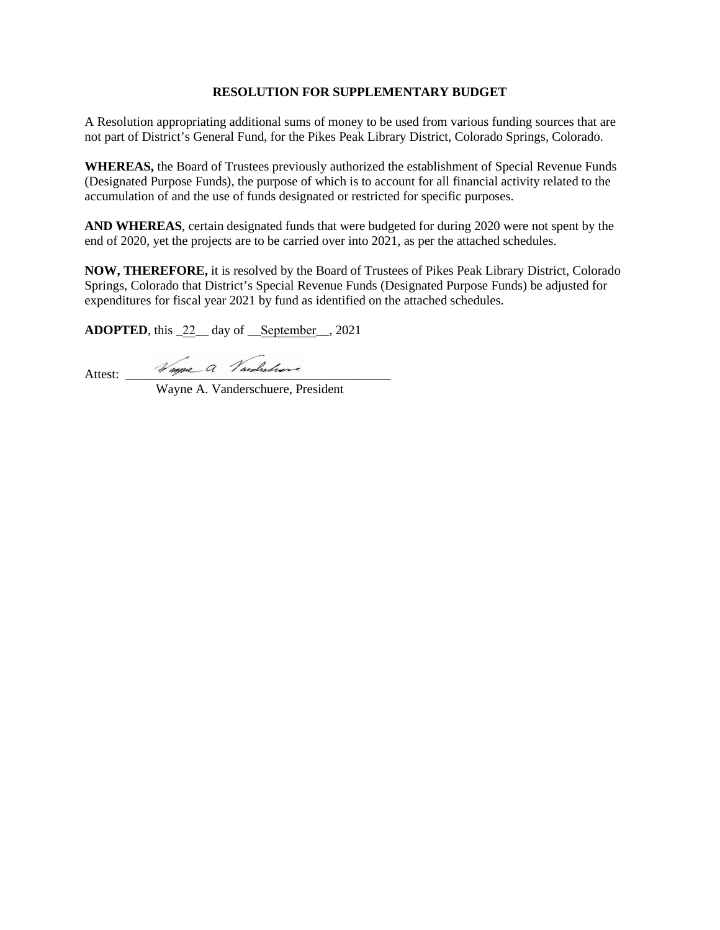A Resolution appropriating additional sums of money to be used from various funding sources that are not part of District's General Fund, for the Pikes Peak Library District, Colorado Springs, Colorado.

**WHEREAS,** the Board of Trustees previously authorized the establishment of Special Revenue Funds (Designated Purpose Funds), the purpose of which is to account for all financial activity related to the accumulation of and the use of funds designated or restricted for specific purposes.

**AND WHEREAS**, certain designated funds that were budgeted for during 2020 were not spent by the end of 2020, yet the projects are to be carried over into 2021, as per the attached schedules.

**NOW, THEREFORE,** it is resolved by the Board of Trustees of Pikes Peak Library District, Colorado Springs, Colorado that District's Special Revenue Funds (Designated Purpose Funds) be adjusted for expenditures for fiscal year 2021 by fund as identified on the attached schedules.

**ADOPTED**, this \_22\_\_ day of \_\_September\_\_, 2021

Attest:  $\frac{1}{\sqrt{m}}$   $\frac{m}{\sqrt{m}}$   $\frac{m}{\sqrt{m}}$   $\frac{m}{\sqrt{m}}$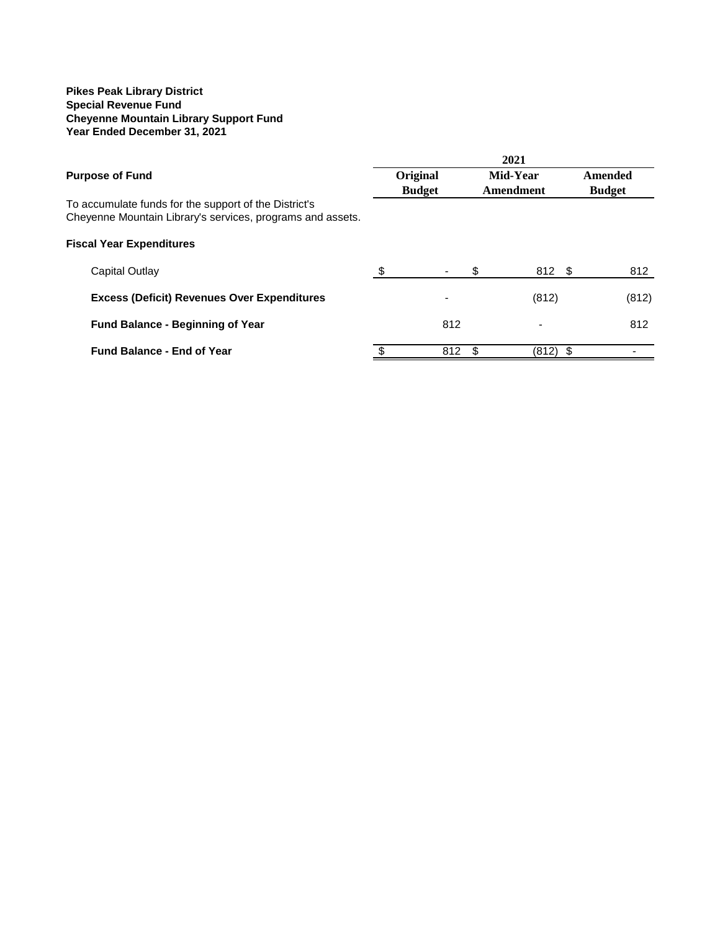#### **Pikes Peak Library District Special Revenue Fund Cheyenne Mountain Library Support Fund Year Ended December 31, 2021**

|                                                                                                                     | 2021 |                          |    |                          |  |               |
|---------------------------------------------------------------------------------------------------------------------|------|--------------------------|----|--------------------------|--|---------------|
| <b>Purpose of Fund</b>                                                                                              |      | Original                 |    | Mid-Year                 |  | Amended       |
| To accumulate funds for the support of the District's<br>Cheyenne Mountain Library's services, programs and assets. |      | <b>Budget</b>            |    | Amendment                |  | <b>Budget</b> |
| <b>Fiscal Year Expenditures</b>                                                                                     |      |                          |    |                          |  |               |
| Capital Outlay                                                                                                      | -S   | $\overline{\phantom{a}}$ | \$ | 812 \$                   |  | 812           |
| <b>Excess (Deficit) Revenues Over Expenditures</b>                                                                  |      | $\blacksquare$           |    | (812)                    |  | (812)         |
| <b>Fund Balance - Beginning of Year</b>                                                                             |      | 812                      |    | $\overline{\phantom{0}}$ |  | 812           |
| <b>Fund Balance - End of Year</b>                                                                                   |      | 812                      | S. | $(812)$ \$               |  |               |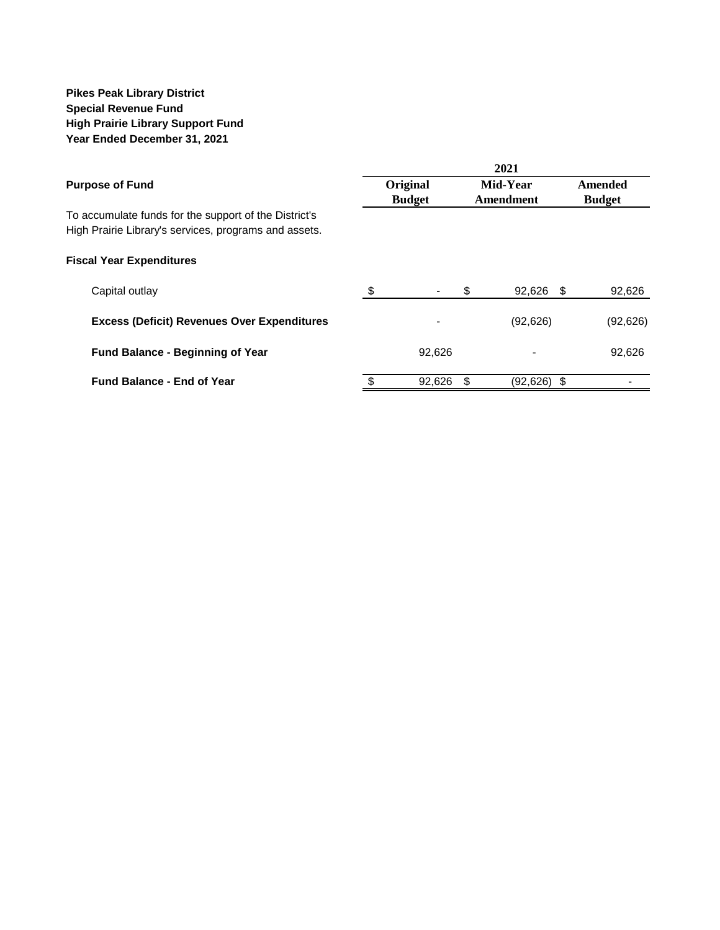### **Pikes Peak Library District Special Revenue Fund High Prairie Library Support Fund Year Ended December 31, 2021**

|                                                       |          | 2021          |          |                  |               |  |  |  |
|-------------------------------------------------------|----------|---------------|----------|------------------|---------------|--|--|--|
| <b>Purpose of Fund</b>                                | Original |               | Mid-Year |                  | Amended       |  |  |  |
|                                                       |          | <b>Budget</b> |          | Amendment        | <b>Budget</b> |  |  |  |
| To accumulate funds for the support of the District's |          |               |          |                  |               |  |  |  |
| High Prairie Library's services, programs and assets. |          |               |          |                  |               |  |  |  |
| <b>Fiscal Year Expenditures</b>                       |          |               |          |                  |               |  |  |  |
| Capital outlay                                        | \$       |               | S        | 92,626<br>- \$   | 92,626        |  |  |  |
| <b>Excess (Deficit) Revenues Over Expenditures</b>    |          |               |          | (92, 626)        | (92, 626)     |  |  |  |
| <b>Fund Balance - Beginning of Year</b>               |          | 92.626        |          |                  | 92,626        |  |  |  |
| <b>Fund Balance - End of Year</b>                     | \$       | 92,626        |          | (92,626)<br>- \$ |               |  |  |  |